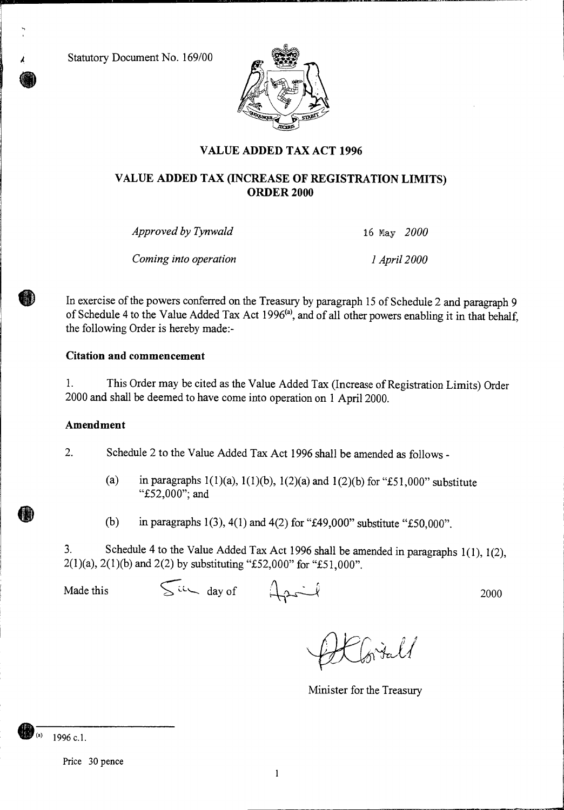Statutory Document No. 169/00



# **VALUE ADDED TAX ACT 1996**

## **VALUE ADDED TAX (INCREASE OF REGISTRATION LIMITS) ORDER 2000**

*Approved by Tynwald* 16 May *2000* 

*Coming into operation 1 April 2000* 

In exercise of the powers conferred on the Treasury by paragraph 15 of Schedule 2 and paragraph 9 of Schedule 4 to the Value Added Tax Act 1996<sup>(a)</sup>, and of all other powers enabling it in that behalf, the following Order is hereby made:-

### **Citation and commencement**

1. This Order may be cited as the Value Added Tax (Increase of Registration Limits) Order 2000 and shall be deemed to have come into operation on 1 April 2000.

#### **Amendment**

2. Schedule 2 to the Value Added Tax Act 1996 shall be amended as follows -

- (a) in paragraphs  $1(1)(a)$ ,  $1(1)(b)$ ,  $1(2)(a)$  and  $1(2)(b)$  for "£51,000" substitute "£52,000"; and
- (b) in paragraphs 1(3), 4(1) and 4(2) for "£49,000" substitute "£50,000".

3. Schedule 4 to the Value Added Tax Act 1996 shall be amended in paragraphs 1(1), 1(2), 2(1)(a), 2(1)(b) and 2(2) by substituting "£52,000" for "£51,000".

Made this  $\int \frac{1}{x^2} dx$  day of  $\int \frac{1}{x^2} dx$  2000

Wital

Minister for the Treasury

1996 c.l.

Price 30 pence